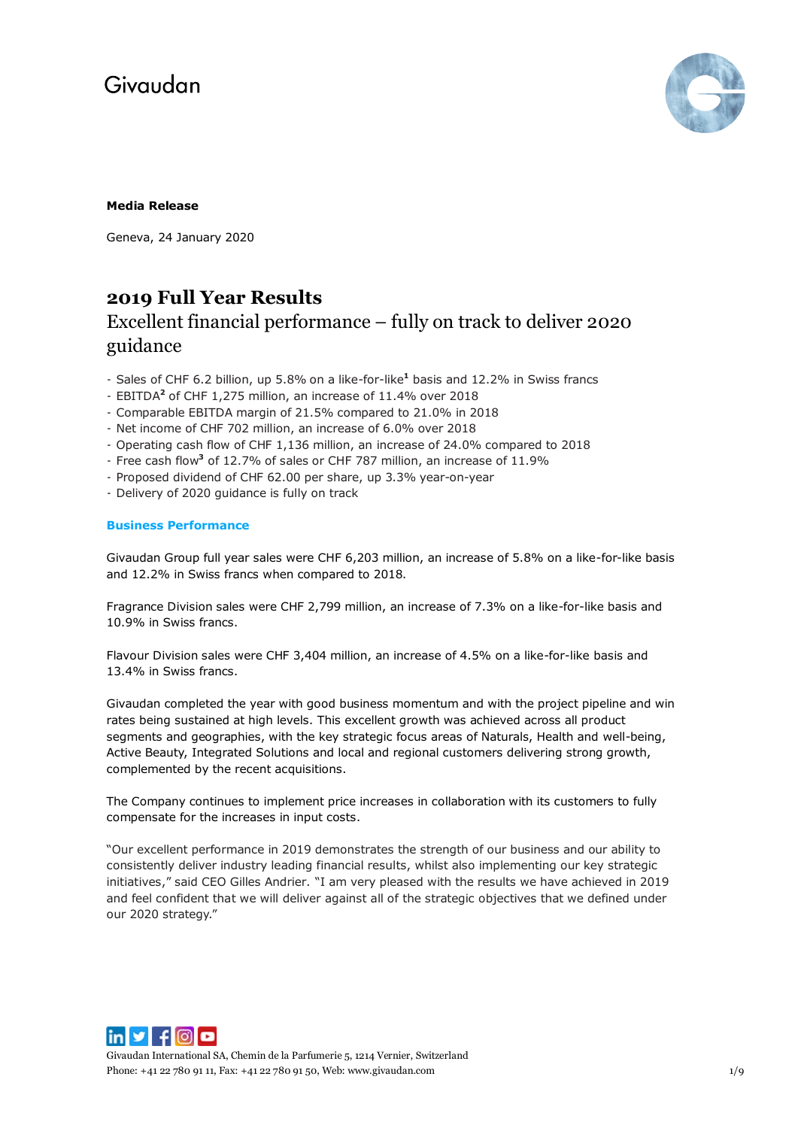

## **Media Release**

Geneva, 24 January 2020

## **2019 Full Year Results**

## Excellent financial performance – fully on track to deliver 2020 guidance

- Sales of CHF 6.2 billion, up 5.8% on a like-for-like**<sup>1</sup>** basis and 12.2% in Swiss francs
- EBITDA**<sup>2</sup>** of CHF 1,275 million, an increase of 11.4% over 2018
- Comparable EBITDA margin of 21.5% compared to 21.0% in 2018
- Net income of CHF 702 million, an increase of 6.0% over 2018
- Operating cash flow of CHF 1,136 million, an increase of 24.0% compared to 2018
- Free cash flow**<sup>3</sup>** of 12.7% of sales or CHF 787 million, an increase of 11.9%
- Proposed dividend of CHF 62.00 per share, up 3.3% year-on-year
- Delivery of 2020 guidance is fully on track

## **Business Performance**

Givaudan Group full year sales were CHF 6,203 million, an increase of 5.8% on a like-for-like basis and 12.2% in Swiss francs when compared to 2018.

Fragrance Division sales were CHF 2,799 million, an increase of 7.3% on a like-for-like basis and 10.9% in Swiss francs.

Flavour Division sales were CHF 3,404 million, an increase of 4.5% on a like-for-like basis and 13.4% in Swiss francs.

Givaudan completed the year with good business momentum and with the project pipeline and win rates being sustained at high levels. This excellent growth was achieved across all product segments and geographies, with the key strategic focus areas of Naturals, Health and well-being, Active Beauty, Integrated Solutions and local and regional customers delivering strong growth, complemented by the recent acquisitions.

The Company continues to implement price increases in collaboration with its customers to fully compensate for the increases in input costs.

"Our excellent performance in 2019 demonstrates the strength of our business and our ability to consistently deliver industry leading financial results, whilst also implementing our key strategic initiatives," said CEO Gilles Andrier. "I am very pleased with the results we have achieved in 2019 and feel confident that we will deliver against all of the strategic objectives that we defined under our 2020 strategy."



Givaudan International SA, Chemin de la Parfumerie 5, 1214 Vernier, Switzerland Phone: +41 22 780 91 11, Fax: +41 22 780 91 50, Web[: www.givaudan.com](http://www.givaudan.com/) 1/9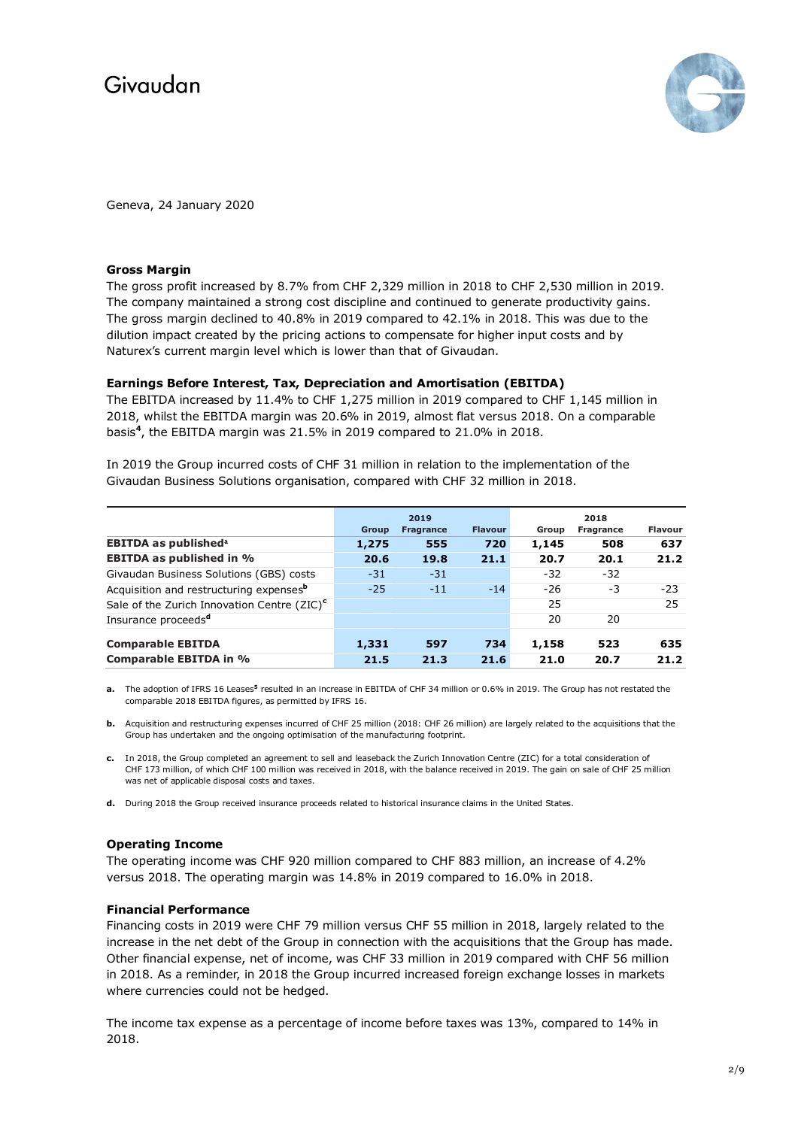

Geneva, 24 January 2020

### **Gross Margin**

The gross profit increased by 8.7% from CHF 2,329 million in 2018 to CHF 2,530 million in 2019. The company maintained a strong cost discipline and continued to generate productivity gains. The gross margin declined to 40.8% in 2019 compared to 42.1% in 2018. This was due to the dilution impact created by the pricing actions to compensate for higher input costs and by Naturex's current margin level which is lower than that of Givaudan.

## **Earnings Before Interest, Tax, Depreciation and Amortisation (EBITDA)**

The EBITDA increased by 11.4% to CHF 1,275 million in 2019 compared to CHF 1,145 million in 2018, whilst the EBITDA margin was 20.6% in 2019, almost flat versus 2018. On a comparable basis**<sup>4</sup>** , the EBITDA margin was 21.5% in 2019 compared to 21.0% in 2018.

In 2019 the Group incurred costs of CHF 31 million in relation to the implementation of the Givaudan Business Solutions organisation, compared with CHF 32 million in 2018.

|                                                         |       | 2019             |                |       | 2018      |                |
|---------------------------------------------------------|-------|------------------|----------------|-------|-----------|----------------|
|                                                         | Group | <b>Fragrance</b> | <b>Flavour</b> | Group | Fragrance | <b>Flavour</b> |
| <b>EBITDA as published<sup>a</sup></b>                  | 1,275 | 555              | 720            | 1,145 | 508       | 637            |
| <b>EBITDA as published in %</b>                         | 20.6  | 19.8             | 21.1           | 20.7  | 20.1      | 21.2           |
| Givaudan Business Solutions (GBS) costs                 | $-31$ | $-31$            |                | $-32$ | $-32$     |                |
| Acquisition and restructuring expenses <sup>b</sup>     | $-25$ | $-11$            | $-14$          | $-26$ | -3        | $-23$          |
| Sale of the Zurich Innovation Centre (ZIC) <sup>c</sup> |       |                  |                | 25    |           | 25             |
| Insurance proceeds <sup>d</sup>                         |       |                  |                | 20    | 20        |                |
| <b>Comparable EBITDA</b>                                | 1,331 | 597              | 734            | 1,158 | 523       | 635            |
| <b>Comparable EBITDA in %</b>                           | 21.5  | 21.3             | 21.6           | 21.0  | 20.7      | 21.2           |

**a.** The adoption of IFRS 16 Leases**<sup>5</sup>** resulted in an increase in EBITDA of CHF 34 million or 0.6% in 2019. The Group has not restated the comparable 2018 EBITDA figures, as permitted by IFRS 16.

- **b.** Acquisition and restructuring expenses incurred of CHF 25 million (2018: CHF 26 million) are largely related to the acquisitions that the Group has undertaken and the ongoing optimisation of the manufacturing footprint.
- **c.** In 2018, the Group completed an agreement to sell and leaseback the Zurich Innovation Centre (ZIC) for a total consideration of CHF 173 million, of which CHF 100 million was received in 2018, with the balance received in 2019. The gain on sale of CHF 25 million was net of applicable disposal costs and taxes.
- **d.** During 2018 the Group received insurance proceeds related to historical insurance claims in the United States.

## **Operating Income**

The operating income was CHF 920 million compared to CHF 883 million, an increase of 4.2% versus 2018. The operating margin was 14.8% in 2019 compared to 16.0% in 2018.

#### **Financial Performance**

Financing costs in 2019 were CHF 79 million versus CHF 55 million in 2018, largely related to the increase in the net debt of the Group in connection with the acquisitions that the Group has made. Other financial expense, net of income, was CHF 33 million in 2019 compared with CHF 56 million in 2018. As a reminder, in 2018 the Group incurred increased foreign exchange losses in markets where currencies could not be hedged.

The income tax expense as a percentage of income before taxes was 13%, compared to 14% in 2018.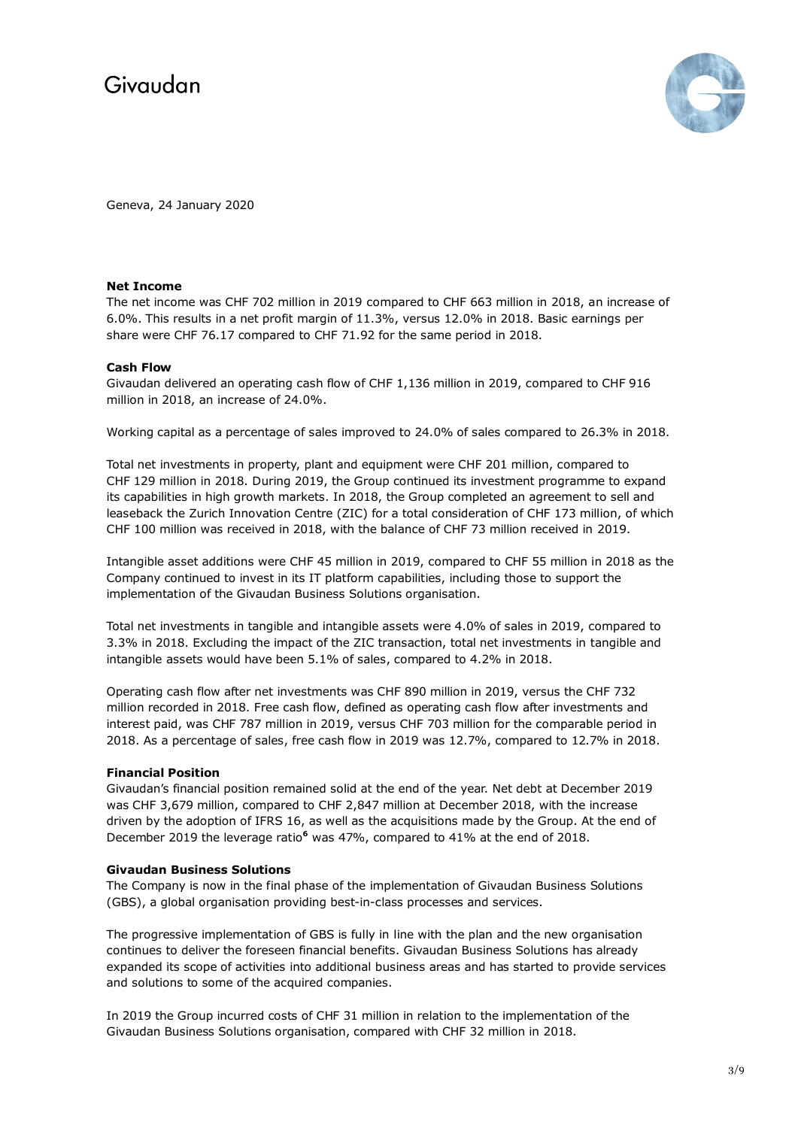

Geneva, 24 January 2020

## **Net Income**

The net income was CHF 702 million in 2019 compared to CHF 663 million in 2018, an increase of 6.0%. This results in a net profit margin of 11.3%, versus 12.0% in 2018. Basic earnings per share were CHF 76.17 compared to CHF 71.92 for the same period in 2018.

## **Cash Flow**

Givaudan delivered an operating cash flow of CHF 1,136 million in 2019, compared to CHF 916 million in 2018, an increase of 24.0%.

Working capital as a percentage of sales improved to 24.0% of sales compared to 26.3% in 2018.

Total net investments in property, plant and equipment were CHF 201 million, compared to CHF 129 million in 2018. During 2019, the Group continued its investment programme to expand its capabilities in high growth markets. In 2018, the Group completed an agreement to sell and leaseback the Zurich Innovation Centre (ZIC) for a total consideration of CHF 173 million, of which CHF 100 million was received in 2018, with the balance of CHF 73 million received in 2019.

Intangible asset additions were CHF 45 million in 2019, compared to CHF 55 million in 2018 as the Company continued to invest in its IT platform capabilities, including those to support the implementation of the Givaudan Business Solutions organisation.

Total net investments in tangible and intangible assets were 4.0% of sales in 2019, compared to 3.3% in 2018. Excluding the impact of the ZIC transaction, total net investments in tangible and intangible assets would have been 5.1% of sales, compared to 4.2% in 2018.

Operating cash flow after net investments was CHF 890 million in 2019, versus the CHF 732 million recorded in 2018. Free cash flow, defined as operating cash flow after investments and interest paid, was CHF 787 million in 2019, versus CHF 703 million for the comparable period in 2018. As a percentage of sales, free cash flow in 2019 was 12.7%, compared to 12.7% in 2018.

#### **Financial Position**

Givaudan's financial position remained solid at the end of the year. Net debt at December 2019 was CHF 3,679 million, compared to CHF 2,847 million at December 2018, with the increase driven by the adoption of IFRS 16, as well as the acquisitions made by the Group. At the end of December 2019 the leverage ratio**<sup>6</sup>** was 47%, compared to 41% at the end of 2018.

#### **Givaudan Business Solutions**

The Company is now in the final phase of the implementation of Givaudan Business Solutions (GBS), a global organisation providing best-in-class processes and services.

The progressive implementation of GBS is fully in line with the plan and the new organisation continues to deliver the foreseen financial benefits. Givaudan Business Solutions has already expanded its scope of activities into additional business areas and has started to provide services and solutions to some of the acquired companies.

In 2019 the Group incurred costs of CHF 31 million in relation to the implementation of the Givaudan Business Solutions organisation, compared with CHF 32 million in 2018.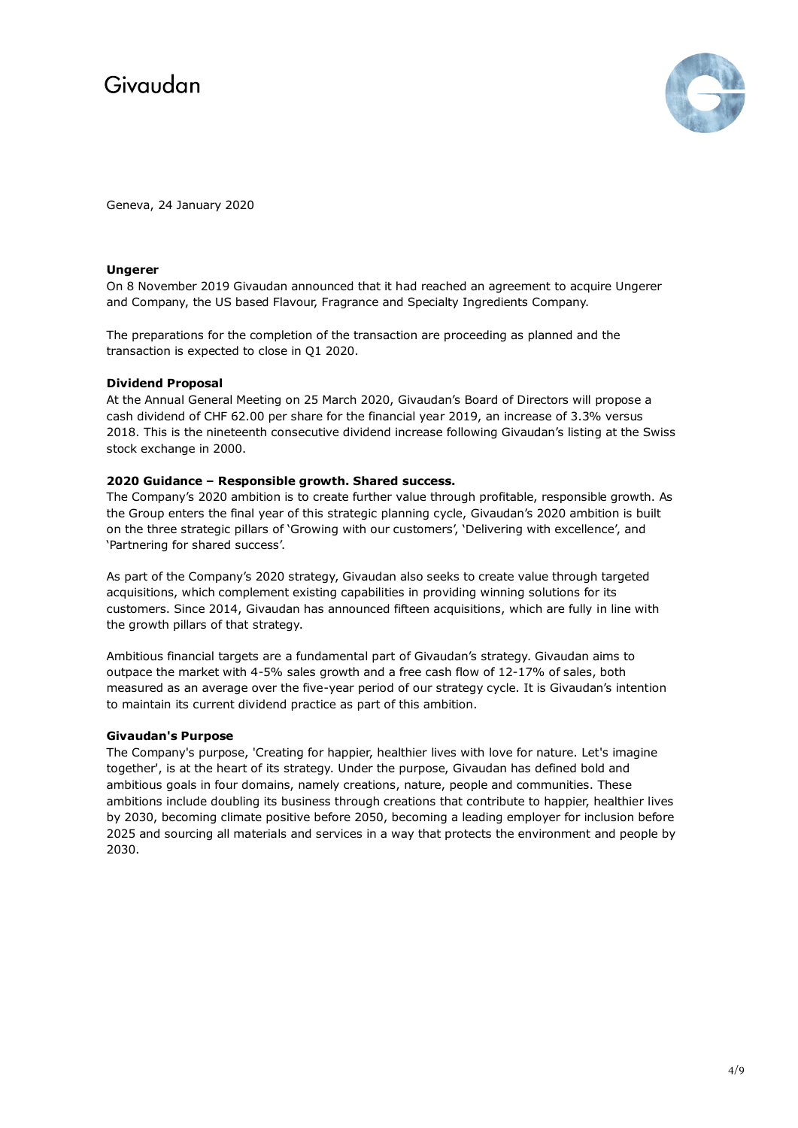

Geneva, 24 January 2020

### **Ungerer**

On 8 November 2019 Givaudan announced that it had reached an agreement to acquire Ungerer and Company, the US based Flavour, Fragrance and Specialty Ingredients Company.

The preparations for the completion of the transaction are proceeding as planned and the transaction is expected to close in Q1 2020.

## **Dividend Proposal**

At the Annual General Meeting on 25 March 2020, Givaudan's Board of Directors will propose a cash dividend of CHF 62.00 per share for the financial year 2019, an increase of 3.3% versus 2018. This is the nineteenth consecutive dividend increase following Givaudan's listing at the Swiss stock exchange in 2000.

## **2020 Guidance – Responsible growth. Shared success.**

The Company's 2020 ambition is to create further value through profitable, responsible growth. As the Group enters the final year of this strategic planning cycle, Givaudan's 2020 ambition is built on the three strategic pillars of 'Growing with our customers', 'Delivering with excellence', and 'Partnering for shared success'.

As part of the Company's 2020 strategy, Givaudan also seeks to create value through targeted acquisitions, which complement existing capabilities in providing winning solutions for its customers. Since 2014, Givaudan has announced fifteen acquisitions, which are fully in line with the growth pillars of that strategy.

Ambitious financial targets are a fundamental part of Givaudan's strategy. Givaudan aims to outpace the market with 4-5% sales growth and a free cash flow of 12-17% of sales, both measured as an average over the five-year period of our strategy cycle. It is Givaudan's intention to maintain its current dividend practice as part of this ambition.

#### **Givaudan's Purpose**

The Company's purpose, 'Creating for happier, healthier lives with love for nature. Let's imagine together', is at the heart of its strategy. Under the purpose, Givaudan has defined bold and ambitious goals in four domains, namely creations, nature, people and communities. These ambitions include doubling its business through creations that contribute to happier, healthier lives by 2030, becoming climate positive before 2050, becoming a leading employer for inclusion before 2025 and sourcing all materials and services in a way that protects the environment and people by 2030.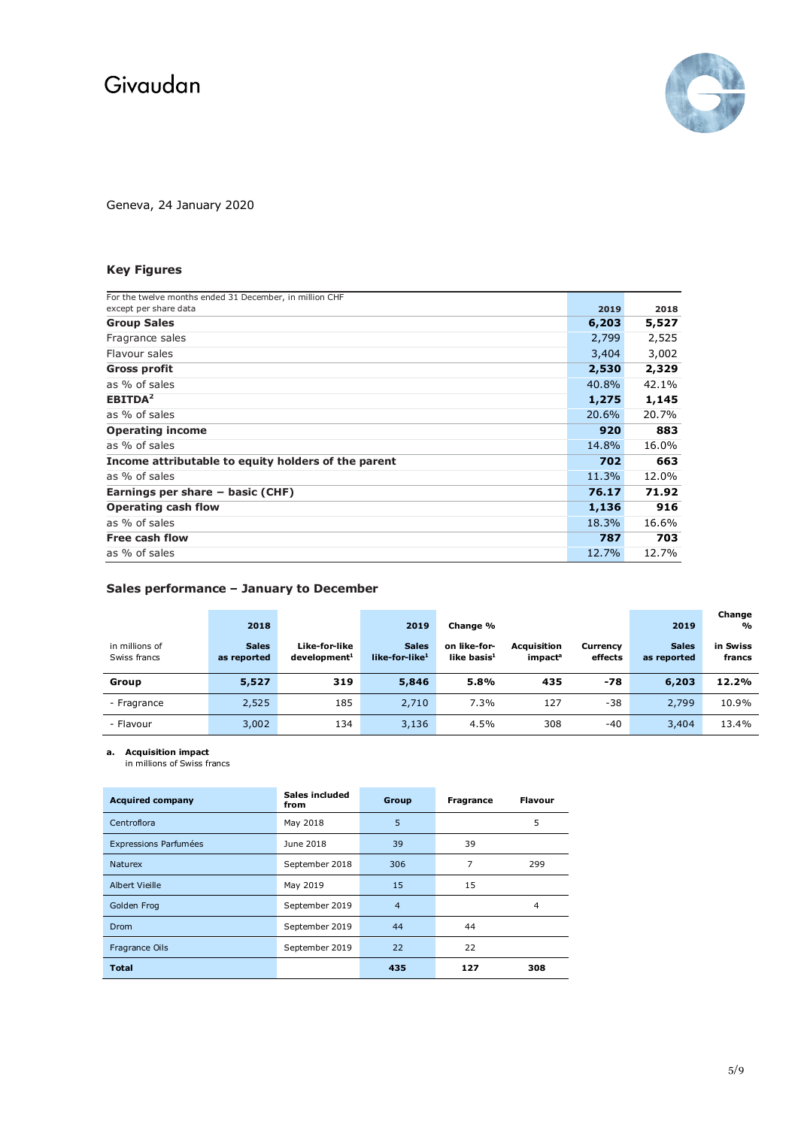

Geneva, 24 January 2020

## **Key Figures**

| For the twelve months ended 31 December, in million CHF<br>except per share data |       |       |
|----------------------------------------------------------------------------------|-------|-------|
|                                                                                  | 2019  | 2018  |
| <b>Group Sales</b>                                                               | 6,203 | 5,527 |
| Fragrance sales                                                                  | 2,799 | 2,525 |
| Flavour sales                                                                    | 3,404 | 3,002 |
| <b>Gross profit</b>                                                              | 2,530 | 2,329 |
| as % of sales                                                                    | 40.8% | 42.1% |
| EBITDA <sup>2</sup>                                                              | 1,275 | 1,145 |
| as % of sales                                                                    | 20.6% | 20.7% |
| <b>Operating income</b>                                                          | 920   | 883   |
| as % of sales                                                                    | 14.8% | 16.0% |
| Income attributable to equity holders of the parent                              | 702   | 663   |
| as % of sales                                                                    | 11.3% | 12.0% |
| Earnings per share - basic (CHF)                                                 | 76.17 | 71.92 |
| <b>Operating cash flow</b>                                                       | 1,136 | 916   |
| as % of sales                                                                    | 18.3% | 16.6% |
| Free cash flow                                                                   | 787   | 703   |
| as % of sales                                                                    | 12.7% | 12.7% |
|                                                                                  |       |       |

## **Sales performance – January to December**

|                                | 2018                        |                                           | 2019                                       | Change %                       |                                           |                     | 2019                        | Change<br>$\frac{1}{2}$ |
|--------------------------------|-----------------------------|-------------------------------------------|--------------------------------------------|--------------------------------|-------------------------------------------|---------------------|-----------------------------|-------------------------|
| in millions of<br>Swiss francs | <b>Sales</b><br>as reported | Like-for-like<br>development <sup>1</sup> | <b>Sales</b><br>like-for-like <sup>1</sup> | on like-for-<br>like basis $1$ | <b>Acquisition</b><br>impact <sup>a</sup> | Currency<br>effects | <b>Sales</b><br>as reported | in Swiss<br>francs      |
| Group                          | 5,527                       | 319                                       | 5,846                                      | 5.8%                           | 435                                       | $-78$               | 6,203                       | 12.2%                   |
| - Fragrance                    | 2,525                       | 185                                       | 2,710                                      | 7.3%                           | 127                                       | $-38$               | 2,799                       | 10.9%                   |
| - Flavour                      | 3,002                       | 134                                       | 3,136                                      | 4.5%                           | 308                                       | -40                 | 3,404                       | 13.4%                   |

**a. Acquisition impact** 

in millions of Swiss francs

| <b>Acquired company</b> | Sales included<br>from | Group          | <b>Fragrance</b> | Flavour |
|-------------------------|------------------------|----------------|------------------|---------|
| Centroflora             | May 2018               | 5              |                  | 5       |
| Expressions Parfumées   | June 2018              | 39             | 39               |         |
| <b>Naturex</b>          | September 2018         | 306            | 7                | 299     |
| Albert Vieille          | May 2019               | 15             | 15               |         |
| Golden Frog             | September 2019         | $\overline{4}$ |                  | 4       |
| Drom                    | September 2019         | 44             | 44               |         |
| Fragrance Oils          | September 2019         | 22             | 22               |         |
| <b>Total</b>            |                        | 435            | 127              | 308     |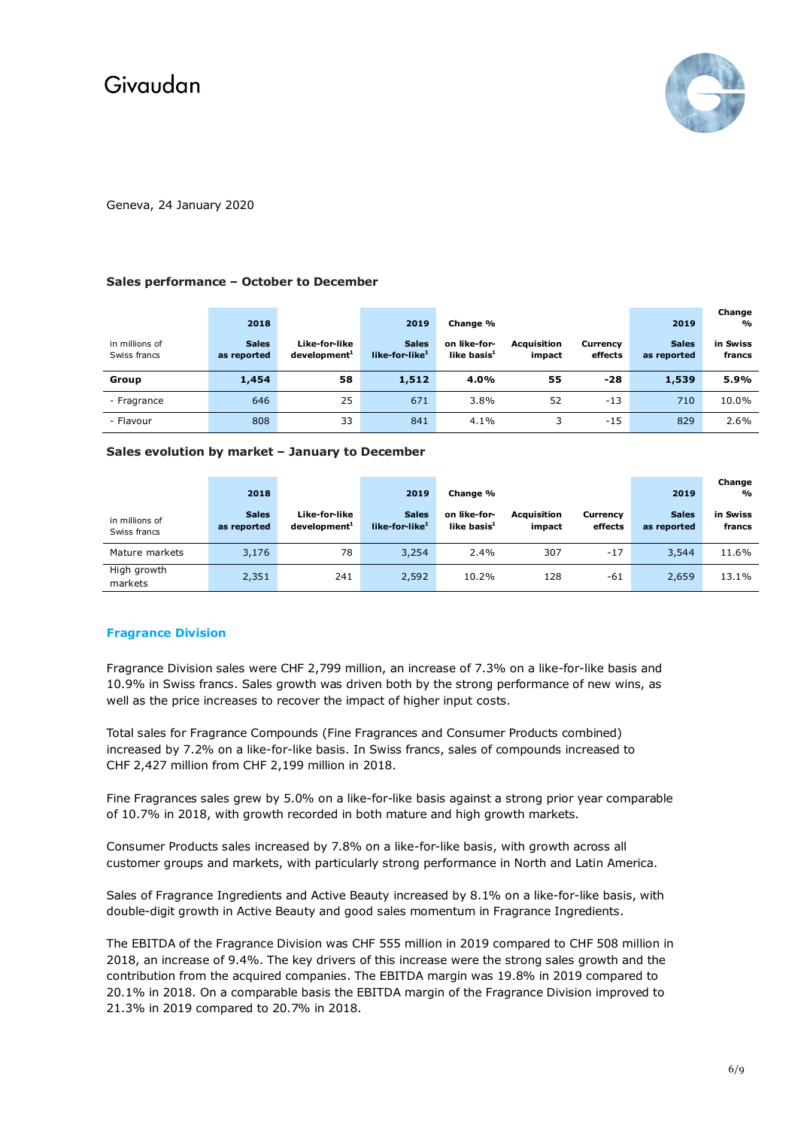

Geneva, 24 January 2020

## **Sales performance – October to December**

| in millions of<br>Swiss francs | 2018<br><b>Sales</b><br>as reported | Like-for-like<br>development <sup>1</sup> | 2019<br><b>Sales</b><br>like-for-like <sup>1</sup> | Change %<br>on like-for-<br>like basis $1$ | <b>Acquisition</b><br>impact | Currency<br>effects | 2019<br><b>Sales</b><br>as reported | Change<br>$\frac{1}{2}$<br>in Swiss<br>francs |
|--------------------------------|-------------------------------------|-------------------------------------------|----------------------------------------------------|--------------------------------------------|------------------------------|---------------------|-------------------------------------|-----------------------------------------------|
| Group                          | 1,454                               | 58                                        | 1,512                                              | 4.0%                                       | 55                           | -28                 | 1,539                               | 5.9%                                          |
| - Fragrance                    | 646                                 | 25                                        | 671                                                | 3.8%                                       | 52                           | $-13$               | 710                                 | 10.0%                                         |
| - Flavour                      | 808                                 | 33                                        | 841                                                | 4.1%                                       |                              | $-15$               | 829                                 | 2.6%                                          |

#### **Sales evolution by market – January to December**

|                                | 2018                        |                                           | 2019                                       | Change %                       |                              |                     | 2019                        | Change<br>$\mathbf{O}_0$ |
|--------------------------------|-----------------------------|-------------------------------------------|--------------------------------------------|--------------------------------|------------------------------|---------------------|-----------------------------|--------------------------|
| in millions of<br>Swiss francs | <b>Sales</b><br>as reported | Like-for-like<br>development <sup>1</sup> | <b>Sales</b><br>like-for-like <sup>1</sup> | on like-for-<br>like basis $1$ | <b>Acquisition</b><br>impact | Currency<br>effects | <b>Sales</b><br>as reported | in Swiss<br>francs       |
| Mature markets                 | 3,176                       | 78                                        | 3,254                                      | 2.4%                           | 307                          | $-17$               | 3,544                       | 11.6%                    |
| High growth<br>markets         | 2,351                       | 241                                       | 2,592                                      | 10.2%                          | 128                          | -61                 | 2,659                       | 13.1%                    |

## **Fragrance Division**

Fragrance Division sales were CHF 2,799 million, an increase of 7.3% on a like-for-like basis and 10.9% in Swiss francs. Sales growth was driven both by the strong performance of new wins, as well as the price increases to recover the impact of higher input costs.

Total sales for Fragrance Compounds (Fine Fragrances and Consumer Products combined) increased by 7.2% on a like-for-like basis. In Swiss francs, sales of compounds increased to CHF 2,427 million from CHF 2,199 million in 2018.

Fine Fragrances sales grew by 5.0% on a like-for-like basis against a strong prior year comparable of 10.7% in 2018, with growth recorded in both mature and high growth markets*.*

Consumer Products sales increased by 7.8% on a like-for-like basis, with growth across all customer groups and markets, with particularly strong performance in North and Latin America.

Sales of Fragrance Ingredients and Active Beauty increased by 8.1% on a like-for-like basis, with double-digit growth in Active Beauty and good sales momentum in Fragrance Ingredients.

The EBITDA of the Fragrance Division was CHF 555 million in 2019 compared to CHF 508 million in 2018, an increase of 9.4%. The key drivers of this increase were the strong sales growth and the contribution from the acquired companies. The EBITDA margin was 19.8% in 2019 compared to 20.1% in 2018. On a comparable basis the EBITDA margin of the Fragrance Division improved to 21.3% in 2019 compared to 20.7% in 2018.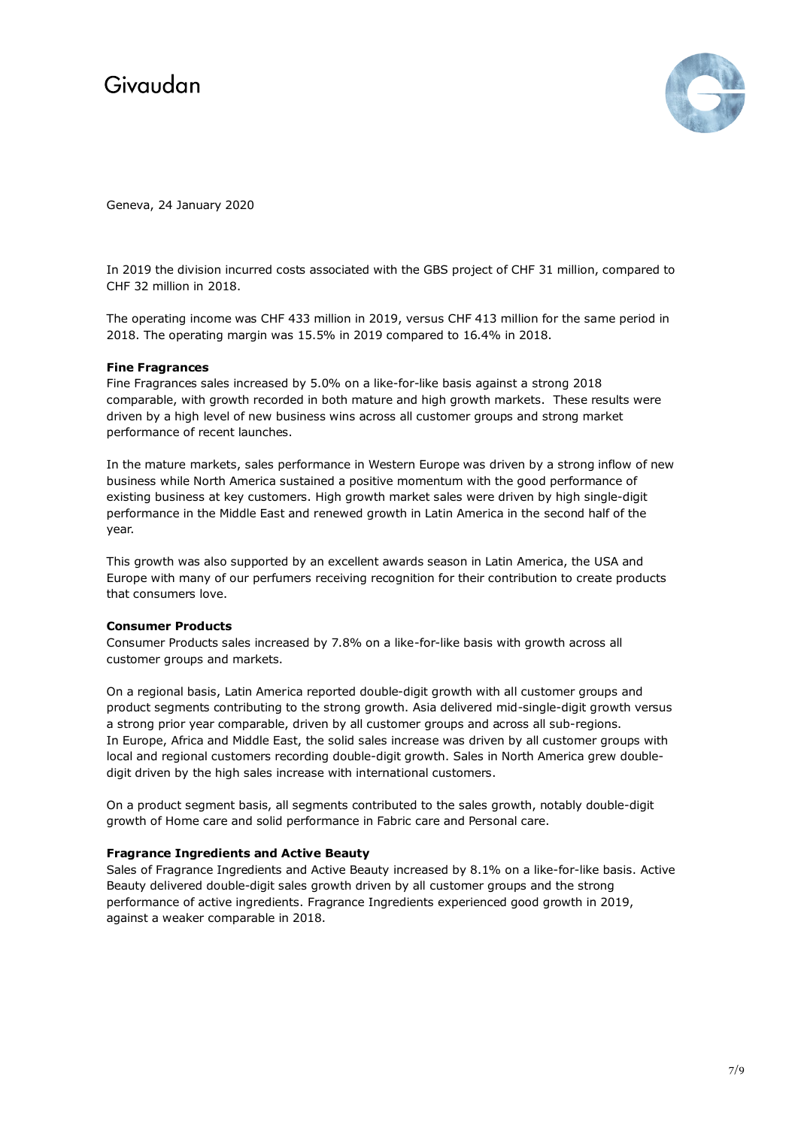

Geneva, 24 January 2020

In 2019 the division incurred costs associated with the GBS project of CHF 31 million, compared to CHF 32 million in 2018.

The operating income was CHF 433 million in 2019, versus CHF 413 million for the same period in 2018. The operating margin was 15.5% in 2019 compared to 16.4% in 2018.

## **Fine Fragrances**

Fine Fragrances sales increased by 5.0% on a like-for-like basis against a strong 2018 comparable, with growth recorded in both mature and high growth markets. These results were driven by a high level of new business wins across all customer groups and strong market performance of recent launches.

In the mature markets, sales performance in Western Europe was driven by a strong inflow of new business while North America sustained a positive momentum with the good performance of existing business at key customers. High growth market sales were driven by high single-digit performance in the Middle East and renewed growth in Latin America in the second half of the year.

This growth was also supported by an excellent awards season in Latin America, the USA and Europe with many of our perfumers receiving recognition for their contribution to create products that consumers love.

## **Consumer Products**

Consumer Products sales increased by 7.8% on a like-for-like basis with growth across all customer groups and markets.

On a regional basis, Latin America reported double-digit growth with all customer groups and product segments contributing to the strong growth. Asia delivered mid-single-digit growth versus a strong prior year comparable, driven by all customer groups and across all sub-regions. In Europe, Africa and Middle East, the solid sales increase was driven by all customer groups with local and regional customers recording double-digit growth. Sales in North America grew doubledigit driven by the high sales increase with international customers.

On a product segment basis, all segments contributed to the sales growth, notably double-digit growth of Home care and solid performance in Fabric care and Personal care.

## **Fragrance Ingredients and Active Beauty**

Sales of Fragrance Ingredients and Active Beauty increased by 8.1% on a like-for-like basis. Active Beauty delivered double-digit sales growth driven by all customer groups and the strong performance of active ingredients. Fragrance Ingredients experienced good growth in 2019, against a weaker comparable in 2018.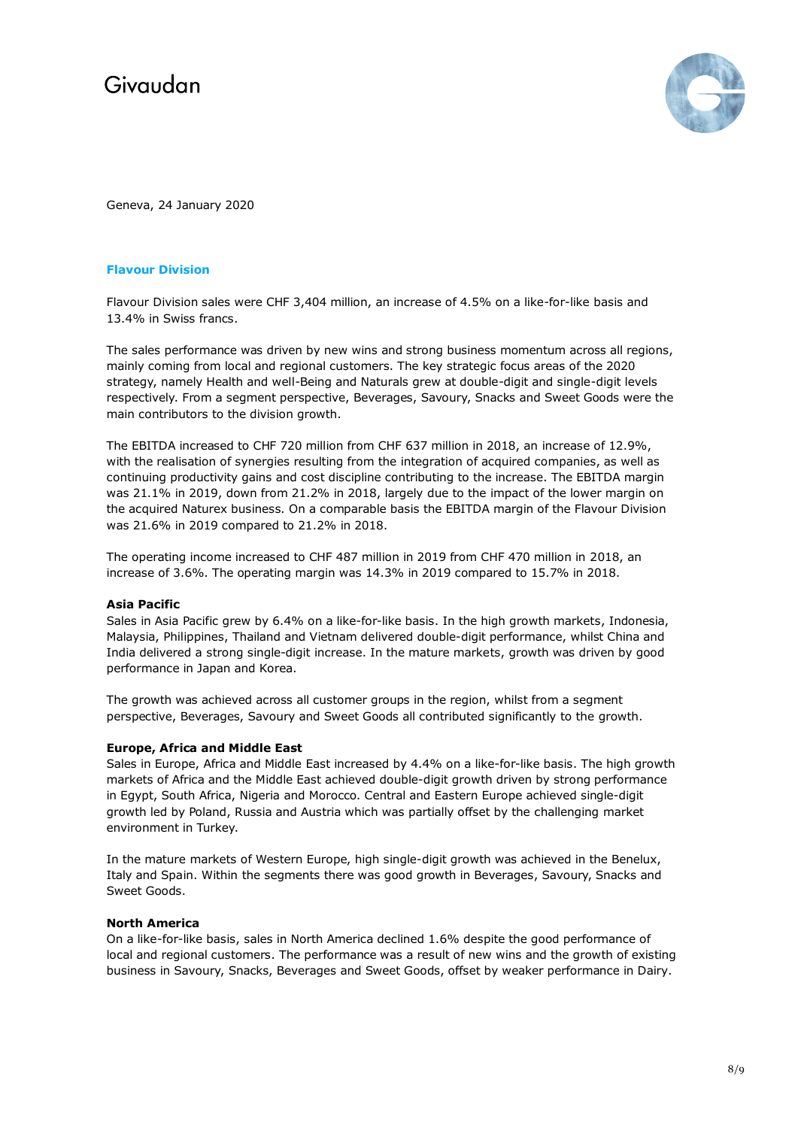

Geneva, 24 January 2020

## **Flavour Division**

Flavour Division sales were CHF 3,404 million, an increase of 4.5% on a like-for-like basis and 13.4% in Swiss francs.

The sales performance was driven by new wins and strong business momentum across all regions, mainly coming from local and regional customers. The key strategic focus areas of the 2020 strategy, namely Health and well-Being and Naturals grew at double-digit and single-digit levels respectively. From a segment perspective, Beverages, Savoury, Snacks and Sweet Goods were the main contributors to the division growth.

The EBITDA increased to CHF 720 million from CHF 637 million in 2018, an increase of 12.9%, with the realisation of synergies resulting from the integration of acquired companies, as well as continuing productivity gains and cost discipline contributing to the increase. The EBITDA margin was 21.1% in 2019, down from 21.2% in 2018, largely due to the impact of the lower margin on the acquired Naturex business. On a comparable basis the EBITDA margin of the Flavour Division was 21.6% in 2019 compared to 21.2% in 2018.

The operating income increased to CHF 487 million in 2019 from CHF 470 million in 2018, an increase of 3.6%. The operating margin was 14.3% in 2019 compared to 15.7% in 2018.

#### **Asia Pacific**

Sales in Asia Pacific grew by 6.4% on a like-for-like basis. In the high growth markets, Indonesia, Malaysia, Philippines, Thailand and Vietnam delivered double-digit performance, whilst China and India delivered a strong single-digit increase. In the mature markets, growth was driven by good performance in Japan and Korea.

The growth was achieved across all customer groups in the region, whilst from a segment perspective, Beverages, Savoury and Sweet Goods all contributed significantly to the growth.

#### **Europe, Africa and Middle East**

Sales in Europe, Africa and Middle East increased by 4.4% on a like-for-like basis. The high growth markets of Africa and the Middle East achieved double-digit growth driven by strong performance in Egypt, South Africa, Nigeria and Morocco. Central and Eastern Europe achieved single-digit growth led by Poland, Russia and Austria which was partially offset by the challenging market environment in Turkey.

In the mature markets of Western Europe, high single-digit growth was achieved in the Benelux, Italy and Spain. Within the segments there was good growth in Beverages, Savoury, Snacks and Sweet Goods.

### **North America**

On a like-for-like basis, sales in North America declined 1.6% despite the good performance of local and regional customers. The performance was a result of new wins and the growth of existing business in Savoury, Snacks, Beverages and Sweet Goods, offset by weaker performance in Dairy.